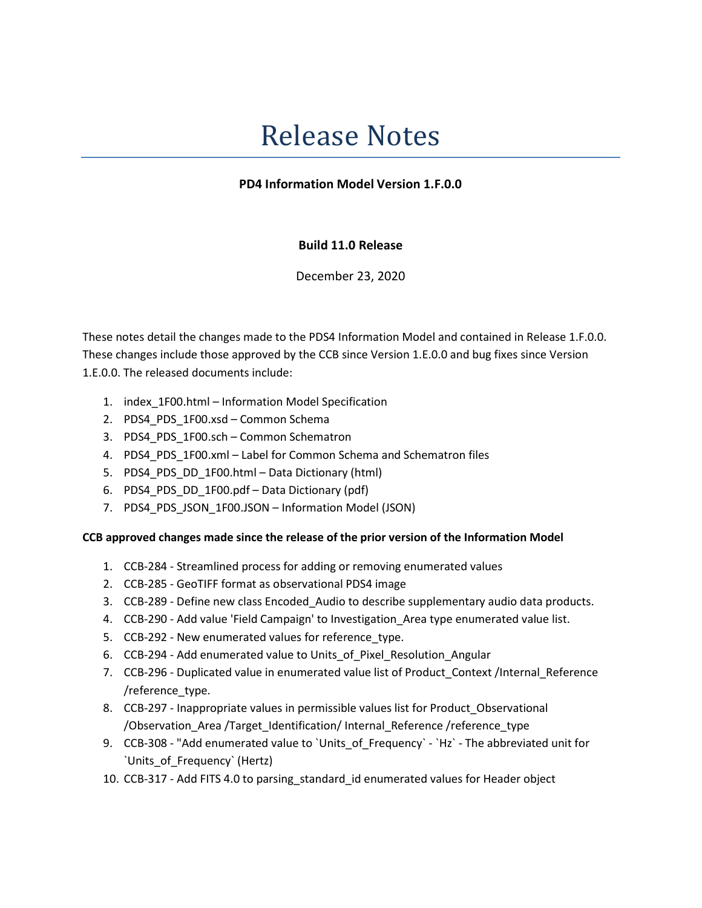# Release Notes

## PD4 Information Model Version 1.F.0.0

# Build 11.0 Release

December 23, 2020

These notes detail the changes made to the PDS4 Information Model and contained in Release 1.F.0.0. These changes include those approved by the CCB since Version 1.E.0.0 and bug fixes since Version 1.E.0.0. The released documents include:

- 1. index\_1F00.html Information Model Specification
- 2. PDS4\_PDS\_1F00.xsd Common Schema
- 3. PDS4 PDS 1F00.sch Common Schematron
- 4. PDS4 PDS 1F00.xml Label for Common Schema and Schematron files
- 5. PDS4\_PDS\_DD\_1F00.html Data Dictionary (html)
- 6. PDS4\_PDS\_DD\_1F00.pdf Data Dictionary (pdf)
- 7. PDS4\_PDS\_JSON\_1F00.JSON Information Model (JSON)

### CCB approved changes made since the release of the prior version of the Information Model

- 1. CCB-284 Streamlined process for adding or removing enumerated values
- 2. CCB-285 GeoTIFF format as observational PDS4 image
- 3. CCB-289 Define new class Encoded\_Audio to describe supplementary audio data products.
- 4. CCB-290 Add value 'Field Campaign' to Investigation Area type enumerated value list.
- 5. CCB-292 New enumerated values for reference\_type.
- 6. CCB-294 Add enumerated value to Units\_of\_Pixel\_Resolution\_Angular
- 7. CCB-296 Duplicated value in enumerated value list of Product\_Context /Internal\_Reference /reference\_type.
- 8. CCB-297 Inappropriate values in permissible values list for Product\_Observational /Observation\_Area /Target\_Identification/ Internal\_Reference /reference\_type
- 9. CCB-308 "Add enumerated value to `Units\_of\_Frequency` `Hz` The abbreviated unit for `Units\_of\_Frequency` (Hertz)
- 10. CCB-317 Add FITS 4.0 to parsing\_standard\_id enumerated values for Header object